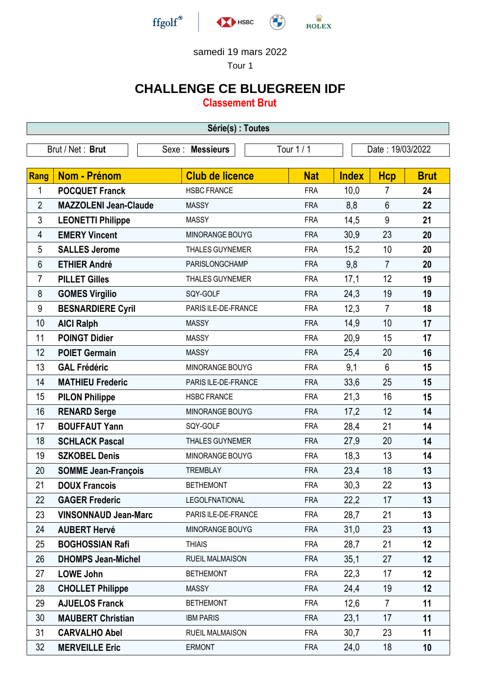

Tour 1

## **CHALLENGE CE BLUEGREEN IDF**

**Classement Brut**

| Série(s) : Toutes                                                      |                              |                        |            |              |                |             |  |
|------------------------------------------------------------------------|------------------------------|------------------------|------------|--------------|----------------|-------------|--|
| Brut / Net: Brut<br>Tour 1 / 1<br>Sexe : Messieurs<br>Date: 19/03/2022 |                              |                        |            |              |                |             |  |
|                                                                        |                              |                        |            |              |                |             |  |
| Rang                                                                   | <b>Nom - Prénom</b>          | <b>Club de licence</b> | <b>Nat</b> | <b>Index</b> | <b>Hcp</b>     | <b>Brut</b> |  |
| 1                                                                      | <b>POCQUET Franck</b>        | <b>HSBC FRANCE</b>     | <b>FRA</b> | 10,0         | 7              | 24          |  |
| $\overline{2}$                                                         | <b>MAZZOLENI Jean-Claude</b> | <b>MASSY</b>           | <b>FRA</b> | 8,8          | $6\phantom{1}$ | 22          |  |
| 3                                                                      | <b>LEONETTI Philippe</b>     | <b>MASSY</b>           | <b>FRA</b> | 14,5         | 9              | 21          |  |
| 4                                                                      | <b>EMERY Vincent</b>         | MINORANGE BOUYG        | <b>FRA</b> | 30,9         | 23             | 20          |  |
| 5                                                                      | <b>SALLES Jerome</b>         | <b>THALES GUYNEMER</b> | <b>FRA</b> | 15,2         | 10             | 20          |  |
| 6                                                                      | <b>ETHIER André</b>          | PARISLONGCHAMP         | <b>FRA</b> | 9,8          | $\overline{7}$ | 20          |  |
| 7                                                                      | <b>PILLET Gilles</b>         | <b>THALES GUYNEMER</b> | <b>FRA</b> | 17,1         | 12             | 19          |  |
| 8                                                                      | <b>GOMES Virgilio</b>        | SQY-GOLF               | <b>FRA</b> | 24,3         | 19             | 19          |  |
| $9\,$                                                                  | <b>BESNARDIERE Cyril</b>     | PARIS ILE-DE-FRANCE    | <b>FRA</b> | 12,3         | $\overline{7}$ | 18          |  |
| 10                                                                     | <b>AICI Ralph</b>            | <b>MASSY</b>           | <b>FRA</b> | 14,9         | 10             | 17          |  |
| 11                                                                     | <b>POINGT Didier</b>         | <b>MASSY</b>           | <b>FRA</b> | 20,9         | 15             | 17          |  |
| 12                                                                     | <b>POIET Germain</b>         | <b>MASSY</b>           | <b>FRA</b> | 25,4         | 20             | 16          |  |
| 13                                                                     | <b>GAL Frédéric</b>          | MINORANGE BOUYG        | <b>FRA</b> | 9,1          | $6\phantom{1}$ | 15          |  |
| 14                                                                     | <b>MATHIEU Frederic</b>      | PARIS ILE-DE-FRANCE    | <b>FRA</b> | 33,6         | 25             | 15          |  |
| 15                                                                     | <b>PILON Philippe</b>        | <b>HSBC FRANCE</b>     | <b>FRA</b> | 21,3         | 16             | 15          |  |
| 16                                                                     | <b>RENARD Serge</b>          | MINORANGE BOUYG        | <b>FRA</b> | 17,2         | 12             | 14          |  |
| 17                                                                     | <b>BOUFFAUT Yann</b>         | SQY-GOLF               | <b>FRA</b> | 28,4         | 21             | 14          |  |
| 18                                                                     | <b>SCHLACK Pascal</b>        | <b>THALES GUYNEMER</b> | <b>FRA</b> | 27,9         | 20             | 14          |  |
| 19                                                                     | <b>SZKOBEL Denis</b>         | MINORANGE BOUYG        | <b>FRA</b> | 18,3         | 13             | 14          |  |
| 20                                                                     | <b>SOMME Jean-François</b>   | <b>TREMBLAY</b>        | <b>FRA</b> | 23,4         | 18             | 13          |  |
| 21                                                                     | <b>DOUX Francois</b>         | <b>BETHEMONT</b>       | <b>FRA</b> | 30,3         | 22             | 13          |  |
| 22                                                                     | <b>GAGER Frederic</b>        | LEGOLFNATIONAL         | <b>FRA</b> | 22,2         | 17             | 13          |  |
| 23                                                                     | <b>VINSONNAUD Jean-Marc</b>  | PARIS ILE-DE-FRANCE    | <b>FRA</b> | 28,7         | 21             | 13          |  |
| 24                                                                     | <b>AUBERT Hervé</b>          | MINORANGE BOUYG        | <b>FRA</b> | 31,0         | 23             | 13          |  |
| 25                                                                     | <b>BOGHOSSIAN Rafi</b>       | <b>THIAIS</b>          | <b>FRA</b> | 28,7         | 21             | 12          |  |
| 26                                                                     | <b>DHOMPS Jean-Michel</b>    | <b>RUEIL MALMAISON</b> | <b>FRA</b> | 35,1         | 27             | 12          |  |
| 27                                                                     | <b>LOWE John</b>             | <b>BETHEMONT</b>       | <b>FRA</b> | 22,3         | 17             | 12          |  |
| 28                                                                     | <b>CHOLLET Philippe</b>      | <b>MASSY</b>           | <b>FRA</b> | 24,4         | 19             | 12          |  |
| 29                                                                     | <b>AJUELOS Franck</b>        | <b>BETHEMONT</b>       | <b>FRA</b> | 12,6         | $\overline{7}$ | 11          |  |
| 30                                                                     | <b>MAUBERT Christian</b>     | <b>IBM PARIS</b>       | <b>FRA</b> | 23,1         | 17             | 11          |  |
| 31                                                                     | <b>CARVALHO Abel</b>         | <b>RUEIL MALMAISON</b> | <b>FRA</b> | 30,7         | 23             | 11          |  |
| 32                                                                     | <b>MERVEILLE Eric</b>        | <b>ERMONT</b>          | <b>FRA</b> | 24,0         | 18             | 10          |  |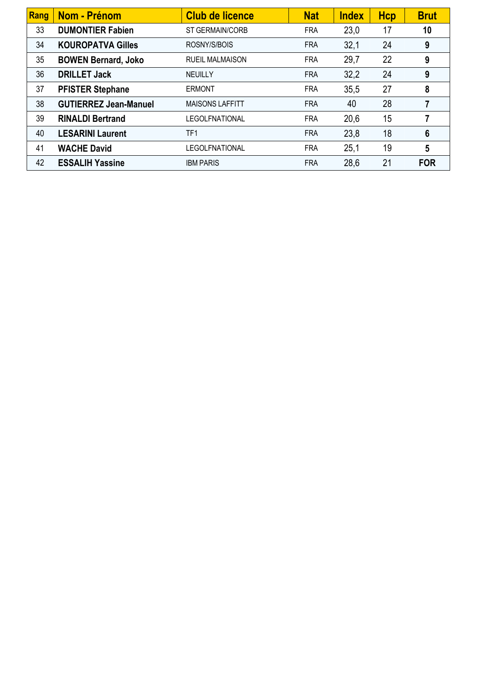| Rang | Nom - Prénom                 | <b>Club de licence</b> | <b>Nat</b> | <b>Index</b> | <b>Hcp</b> | <b>Brut</b>     |
|------|------------------------------|------------------------|------------|--------------|------------|-----------------|
| 33   | <b>DUMONTIER Fabien</b>      | ST GERMAIN/CORB        | <b>FRA</b> | 23,0         | 17         | 10              |
| 34   | <b>KOUROPATVA Gilles</b>     | ROSNY/S/BOIS           | <b>FRA</b> | 32,1         | 24         | 9               |
| 35   | <b>BOWEN Bernard, Joko</b>   | <b>RUEIL MALMAISON</b> | <b>FRA</b> | 29,7         | 22         | 9               |
| 36   | <b>DRILLET Jack</b>          | <b>NEUILLY</b>         | <b>FRA</b> | 32,2         | 24         | 9               |
| 37   | <b>PFISTER Stephane</b>      | <b>ERMONT</b>          | <b>FRA</b> | 35,5         | 27         | 8               |
| 38   | <b>GUTIERREZ Jean-Manuel</b> | <b>MAISONS LAFFITT</b> | <b>FRA</b> | 40           | 28         | 7               |
| 39   | <b>RINALDI Bertrand</b>      | <b>LEGOLFNATIONAL</b>  | <b>FRA</b> | 20,6         | 15         | 7               |
| 40   | <b>LESARINI Laurent</b>      | TF1                    | <b>FRA</b> | 23,8         | 18         | $6\phantom{1}6$ |
| 41   | <b>WACHE David</b>           | <b>LEGOLFNATIONAL</b>  | <b>FRA</b> | 25,1         | 19         | 5               |
| 42   | <b>ESSALIH Yassine</b>       | <b>IBM PARIS</b>       | <b>FRA</b> | 28,6         | 21         | <b>FOR</b>      |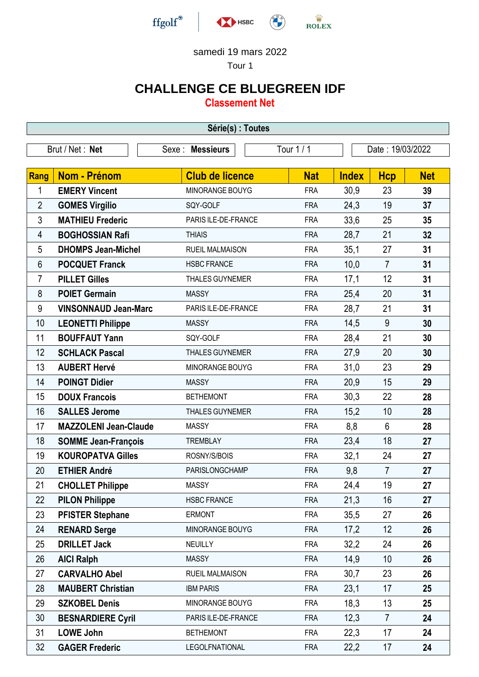

Tour 1

# **CHALLENGE CE BLUEGREEN IDF**

**Classement Net**

| Série(s) : Toutes                                                     |                              |                        |            |              |                |            |  |
|-----------------------------------------------------------------------|------------------------------|------------------------|------------|--------------|----------------|------------|--|
| Tour 1 / 1<br>Brut / Net: Net<br>Date: 19/03/2022<br>Sexe : Messieurs |                              |                        |            |              |                |            |  |
|                                                                       |                              |                        |            |              |                |            |  |
| Rang                                                                  | <b>Nom - Prénom</b>          | <b>Club de licence</b> | <b>Nat</b> | <b>Index</b> | <b>Hcp</b>     | <b>Net</b> |  |
| 1                                                                     | <b>EMERY Vincent</b>         | MINORANGE BOUYG        | <b>FRA</b> | 30,9         | 23             | 39         |  |
| $\overline{2}$                                                        | <b>GOMES Virgilio</b>        | SQY-GOLF               | <b>FRA</b> | 24,3         | 19             | 37         |  |
| $\mathfrak{Z}$                                                        | <b>MATHIEU Frederic</b>      | PARIS ILE-DE-FRANCE    | <b>FRA</b> | 33,6         | 25             | 35         |  |
| 4                                                                     | <b>BOGHOSSIAN Rafi</b>       | <b>THIAIS</b>          | <b>FRA</b> | 28,7         | 21             | 32         |  |
| 5                                                                     | <b>DHOMPS Jean-Michel</b>    | <b>RUEIL MALMAISON</b> | <b>FRA</b> | 35,1         | 27             | 31         |  |
| 6                                                                     | <b>POCQUET Franck</b>        | <b>HSBC FRANCE</b>     | <b>FRA</b> | 10,0         | $\overline{7}$ | 31         |  |
| 7                                                                     | <b>PILLET Gilles</b>         | <b>THALES GUYNEMER</b> | <b>FRA</b> | 17,1         | 12             | 31         |  |
| 8                                                                     | <b>POIET Germain</b>         | <b>MASSY</b>           | <b>FRA</b> | 25,4         | 20             | 31         |  |
| 9                                                                     | <b>VINSONNAUD Jean-Marc</b>  | PARIS ILE-DE-FRANCE    | <b>FRA</b> | 28,7         | 21             | 31         |  |
| 10                                                                    | <b>LEONETTI Philippe</b>     | <b>MASSY</b>           | <b>FRA</b> | 14,5         | 9              | 30         |  |
| 11                                                                    | <b>BOUFFAUT Yann</b>         | SQY-GOLF               | <b>FRA</b> | 28,4         | 21             | 30         |  |
| 12                                                                    | <b>SCHLACK Pascal</b>        | <b>THALES GUYNEMER</b> | <b>FRA</b> | 27,9         | 20             | 30         |  |
| 13                                                                    | <b>AUBERT Hervé</b>          | MINORANGE BOUYG        | <b>FRA</b> | 31,0         | 23             | 29         |  |
| 14                                                                    | <b>POINGT Didier</b>         | <b>MASSY</b>           | <b>FRA</b> | 20,9         | 15             | 29         |  |
| 15                                                                    | <b>DOUX Francois</b>         | <b>BETHEMONT</b>       | <b>FRA</b> | 30,3         | 22             | 28         |  |
| 16                                                                    | <b>SALLES Jerome</b>         | <b>THALES GUYNEMER</b> | <b>FRA</b> | 15,2         | 10             | 28         |  |
| 17                                                                    | <b>MAZZOLENI Jean-Claude</b> | <b>MASSY</b>           | <b>FRA</b> | 8,8          | $6\phantom{1}$ | 28         |  |
| 18                                                                    | <b>SOMME Jean-François</b>   | <b>TREMBLAY</b>        | <b>FRA</b> | 23,4         | 18             | 27         |  |
| 19                                                                    | <b>KOUROPATVA Gilles</b>     | ROSNY/S/BOIS           | <b>FRA</b> | 32,1         | 24             | 27         |  |
| 20                                                                    | <b>ETHIER André</b>          | PARISLONGCHAMP         | <b>FRA</b> | 9,8          | $\overline{7}$ | 27         |  |
| 21                                                                    | <b>CHOLLET Philippe</b>      | MASSY                  | <b>FRA</b> | 24,4         | 19             | 27         |  |
| 22                                                                    | <b>PILON Philippe</b>        | <b>HSBC FRANCE</b>     | <b>FRA</b> | 21,3         | 16             | 27         |  |
| 23                                                                    | <b>PFISTER Stephane</b>      | <b>ERMONT</b>          | <b>FRA</b> | 35,5         | 27             | 26         |  |
| 24                                                                    | <b>RENARD Serge</b>          | MINORANGE BOUYG        | <b>FRA</b> | 17,2         | 12             | 26         |  |
| 25                                                                    | <b>DRILLET Jack</b>          | NEUILLY                | <b>FRA</b> | 32,2         | 24             | 26         |  |
| 26                                                                    | <b>AICI Ralph</b>            | <b>MASSY</b>           | <b>FRA</b> | 14,9         | 10             | 26         |  |
| 27                                                                    | <b>CARVALHO Abel</b>         | <b>RUEIL MALMAISON</b> | <b>FRA</b> | 30,7         | 23             | 26         |  |
| 28                                                                    | <b>MAUBERT Christian</b>     | <b>IBM PARIS</b>       | <b>FRA</b> | 23,1         | 17             | 25         |  |
| 29                                                                    | <b>SZKOBEL Denis</b>         | MINORANGE BOUYG        | <b>FRA</b> | 18,3         | 13             | 25         |  |
| 30                                                                    | <b>BESNARDIERE Cyril</b>     | PARIS ILE-DE-FRANCE    | <b>FRA</b> | 12,3         | $\overline{7}$ | 24         |  |
| 31                                                                    | <b>LOWE John</b>             | <b>BETHEMONT</b>       | <b>FRA</b> | 22,3         | 17             | 24         |  |
| 32                                                                    | <b>GAGER Frederic</b>        | <b>LEGOLFNATIONAL</b>  | <b>FRA</b> | 22,2         | 17             | 24         |  |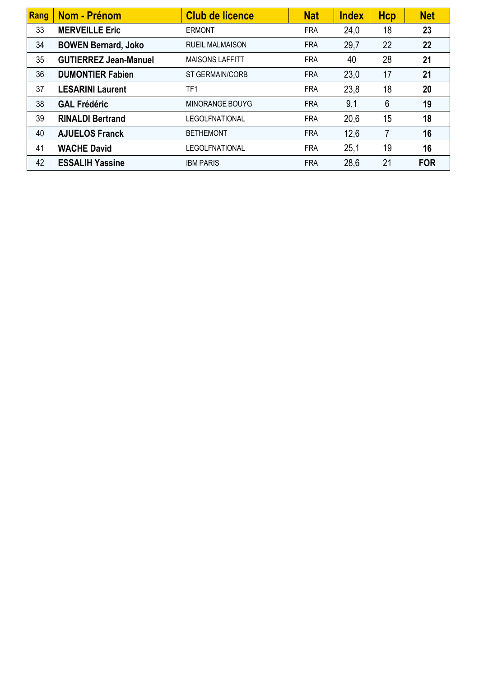| Rang | Nom - Prénom                 | <b>Club de licence</b> | <b>Nat</b> | <b>Index</b> | <b>Hcp</b> | <b>Net</b> |
|------|------------------------------|------------------------|------------|--------------|------------|------------|
| 33   | <b>MERVEILLE Eric</b>        | <b>ERMONT</b>          | <b>FRA</b> | 24,0         | 18         | 23         |
| 34   | <b>BOWEN Bernard, Joko</b>   | <b>RUEIL MALMAISON</b> | <b>FRA</b> | 29,7         | 22         | 22         |
| 35   | <b>GUTIERREZ Jean-Manuel</b> | <b>MAISONS LAFFITT</b> | <b>FRA</b> | 40           | 28         | 21         |
| 36   | <b>DUMONTIER Fabien</b>      | ST GERMAIN/CORB        | <b>FRA</b> | 23,0         | 17         | 21         |
| 37   | <b>LESARINI Laurent</b>      | TF <sub>1</sub>        | <b>FRA</b> | 23,8         | 18         | 20         |
| 38   | <b>GAL Frédéric</b>          | MINORANGE BOUYG        | <b>FRA</b> | 9,1          | 6          | 19         |
| 39   | <b>RINALDI Bertrand</b>      | <b>LEGOLFNATIONAL</b>  | <b>FRA</b> | 20,6         | 15         | 18         |
| 40   | <b>AJUELOS Franck</b>        | <b>BETHEMONT</b>       | <b>FRA</b> | 12,6         | 7          | 16         |
| 41   | <b>WACHE David</b>           | LEGOLFNATIONAL         | <b>FRA</b> | 25,1         | 19         | 16         |
| 42   | <b>ESSALIH Yassine</b>       | <b>IBM PARIS</b>       | <b>FRA</b> | 28,6         | 21         | <b>FOR</b> |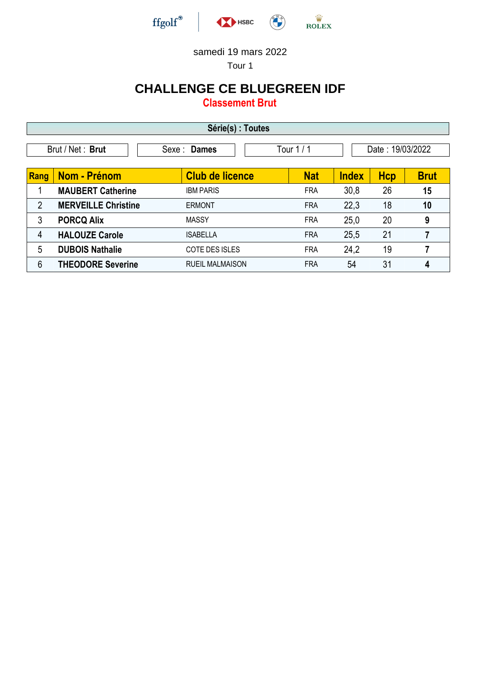

Tour 1

## **CHALLENGE CE BLUEGREEN IDF**

**Classement Brut**

| Série(s) : Toutes                                                 |                            |                        |            |              |            |             |  |  |
|-------------------------------------------------------------------|----------------------------|------------------------|------------|--------------|------------|-------------|--|--|
| Date: 19/03/2022<br>Brut / Net: Brut<br>Tour $1/1$<br>Sexe: Dames |                            |                        |            |              |            |             |  |  |
| Rang                                                              | <b>Nom - Prénom</b>        | <b>Club de licence</b> | <b>Nat</b> | <b>Index</b> | <b>Hcp</b> | <b>Brut</b> |  |  |
|                                                                   | <b>MAUBERT Catherine</b>   | <b>IBM PARIS</b>       | <b>FRA</b> | 30,8         | 26         | 15          |  |  |
| $\overline{2}$                                                    | <b>MERVEILLE Christine</b> | <b>ERMONT</b>          | <b>FRA</b> | 22,3         | 18         | 10          |  |  |
| 3                                                                 | <b>PORCQ Alix</b>          | <b>MASSY</b>           | <b>FRA</b> | 25,0         | 20         | 9           |  |  |
| 4                                                                 | <b>HALOUZE Carole</b>      | <b>ISABELLA</b>        | <b>FRA</b> | 25,5         | 21         | 7           |  |  |
| 5                                                                 | <b>DUBOIS Nathalie</b>     | <b>COTE DES ISLES</b>  | <b>FRA</b> | 24,2         | 19         | 7           |  |  |
| 6                                                                 | <b>THEODORE Severine</b>   | <b>RUEIL MALMAISON</b> | <b>FRA</b> | 54           | 31         | 4           |  |  |

-